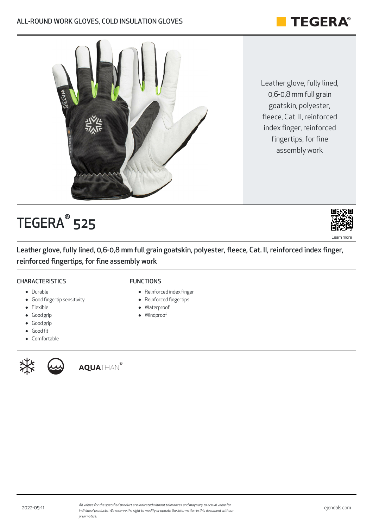# **TEGERA®**

Leather glove, fully lined, 0,6-0,8 mm full grain goatskin, polyester, fleece, Cat. II, reinforced index finger, reinforced fingertips, for fine assembly work



 ${\sf TEGERA}^\circ$  525



Leather glove, fully lined, 0,6-0,8 mm full grain goatskin, polyester, fleece, Cat. II, reinforced index finger, reinforced fingertips, for fine assembly work

# **CHARACTERISTICS**

Good fingertip sensitivity

#### FUNCTIONS

- Reinforced index finger
- Reinforced fingertips  $\bullet$
- Waterproof  $\bullet$
- Windproof

Good grip Good grip

• Durable

• Flexible

- Good fit
- Comfortable



AOUATHAN®